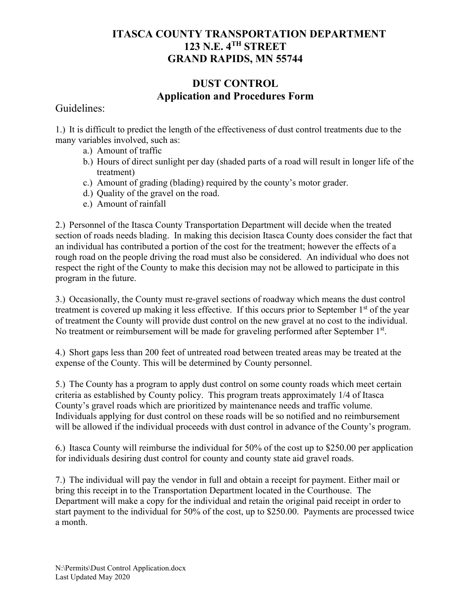## **ITASCA COUNTY TRANSPORTATION DEPARTMENT 123 N.E. 4TH STREET GRAND RAPIDS, MN 55744**

## **DUST CONTROL Application and Procedures Form**

Guidelines:

1.) It is difficult to predict the length of the effectiveness of dust control treatments due to the many variables involved, such as:

- a.) Amount of traffic
- b.) Hours of direct sunlight per day (shaded parts of a road will result in longer life of the treatment)
- c.) Amount of grading (blading) required by the county's motor grader.
- d.) Quality of the gravel on the road.
- e.) Amount of rainfall

2.) Personnel of the Itasca County Transportation Department will decide when the treated section of roads needs blading. In making this decision Itasca County does consider the fact that an individual has contributed a portion of the cost for the treatment; however the effects of a rough road on the people driving the road must also be considered. An individual who does not respect the right of the County to make this decision may not be allowed to participate in this program in the future.

3.) Occasionally, the County must re-gravel sections of roadway which means the dust control treatment is covered up making it less effective. If this occurs prior to September 1<sup>st</sup> of the year of treatment the County will provide dust control on the new gravel at no cost to the individual. No treatment or reimbursement will be made for graveling performed after September 1<sup>st</sup>.

4.) Short gaps less than 200 feet of untreated road between treated areas may be treated at the expense of the County. This will be determined by County personnel.

5.) The County has a program to apply dust control on some county roads which meet certain criteria as established by County policy. This program treats approximately 1/4 of Itasca County's gravel roads which are prioritized by maintenance needs and traffic volume. Individuals applying for dust control on these roads will be so notified and no reimbursement will be allowed if the individual proceeds with dust control in advance of the County's program.

6.) Itasca County will reimburse the individual for 50% of the cost up to \$250.00 per application for individuals desiring dust control for county and county state aid gravel roads.

7.) The individual will pay the vendor in full and obtain a receipt for payment. Either mail or bring this receipt in to the Transportation Department located in the Courthouse. The Department will make a copy for the individual and retain the original paid receipt in order to start payment to the individual for 50% of the cost, up to \$250.00. Payments are processed twice a month.